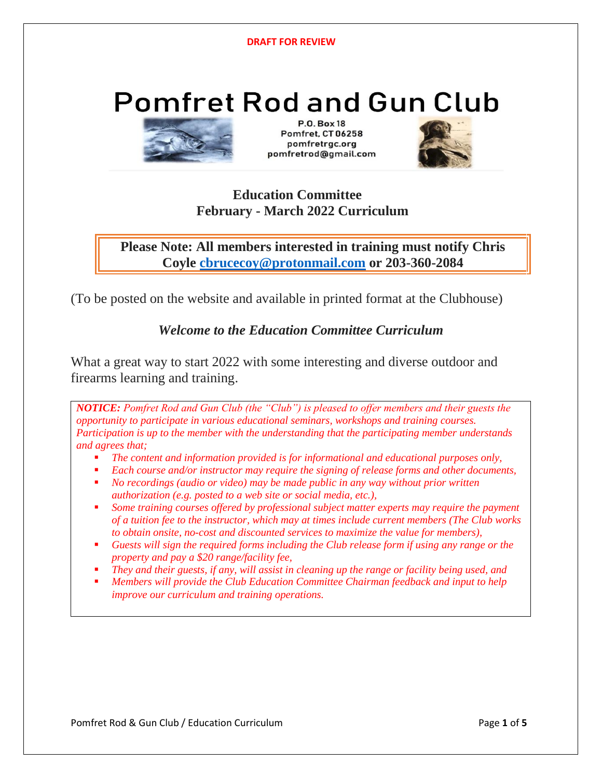# **Pomfret Rod and Gun Club**



 $P \cap Ro$  x 18 Pomfret, CT 06258 pomfretrgc.org pomfretrod@gmail.com



### **Education Committee February - March 2022 Curriculum**

**Please Note: All members interested in training must notify Chris Coyle [cbrucecoy@protonmail.com](mailto:cbrucecoy@protonmail.com) or 203-360-2084**

(To be posted on the website and available in printed format at the Clubhouse)

### *Welcome to the Education Committee Curriculum*

What a great way to start 2022 with some interesting and diverse outdoor and firearms learning and training.

*NOTICE: Pomfret Rod and Gun Club (the "Club") is pleased to offer members and their guests the opportunity to participate in various educational seminars, workshops and training courses. Participation is up to the member with the understanding that the participating member understands and agrees that;*

- The content and information provided is for informational and educational purposes only,
- Each course and/or instructor may require the signing of release forms and other documents,
- *No recordings (audio or video) may be made public in any way without prior written authorization (e.g. posted to a web site or social media, etc.),*
- Some training courses offered by professional subject matter experts may require the payment *of a tuition fee to the instructor, which may at times include current members (The Club works to obtain onsite, no-cost and discounted services to maximize the value for members),*
- Guests will sign the required forms including the Club release form if using any range or the *property and pay a \$20 range/facility fee,*
- They and their guests, if any, will assist in cleaning up the range or facility being used, and
- *Members will provide the Club Education Committee Chairman feedback and input to help improve our curriculum and training operations.*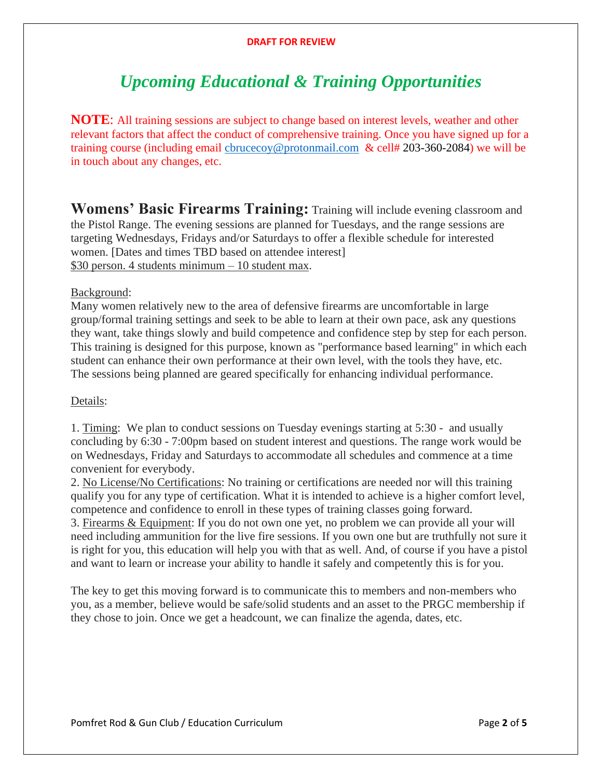#### **DRAFT FOR REVIEW**

## *Upcoming Educational & Training Opportunities*

**NOTE**: All training sessions are subject to change based on interest levels, weather and other relevant factors that affect the conduct of comprehensive training. Once you have signed up for a training course (including email [cbrucecoy@protonmail.com](mailto:cbrucecoy@protonmail.com) & cell# 203-360-2084) we will be in touch about any changes, etc.

**Womens' Basic Firearms Training:** Training will include evening classroom and the Pistol Range. The evening sessions are planned for Tuesdays, and the range sessions are targeting Wednesdays, Fridays and/or Saturdays to offer a flexible schedule for interested women. [Dates and times TBD based on attendee interest] \$30 person. 4 students minimum – 10 student max.

#### Background:

Many women relatively new to the area of defensive firearms are uncomfortable in large group/formal training settings and seek to be able to learn at their own pace, ask any questions they want, take things slowly and build competence and confidence step by step for each person. This training is designed for this purpose, known as "performance based learning" in which each student can enhance their own performance at their own level, with the tools they have, etc. The sessions being planned are geared specifically for enhancing individual performance.

#### Details:

1. Timing: We plan to conduct sessions on Tuesday evenings starting at 5:30 - and usually concluding by 6:30 - 7:00pm based on student interest and questions. The range work would be on Wednesdays, Friday and Saturdays to accommodate all schedules and commence at a time convenient for everybody.

2. No License/No Certifications: No training or certifications are needed nor will this training qualify you for any type of certification. What it is intended to achieve is a higher comfort level, competence and confidence to enroll in these types of training classes going forward. 3. Firearms & Equipment: If you do not own one yet, no problem we can provide all your will need including ammunition for the live fire sessions. If you own one but are truthfully not sure it is right for you, this education will help you with that as well. And, of course if you have a pistol and want to learn or increase your ability to handle it safely and competently this is for you.

The key to get this moving forward is to communicate this to members and non-members who you, as a member, believe would be safe/solid students and an asset to the PRGC membership if they chose to join. Once we get a headcount, we can finalize the agenda, dates, etc.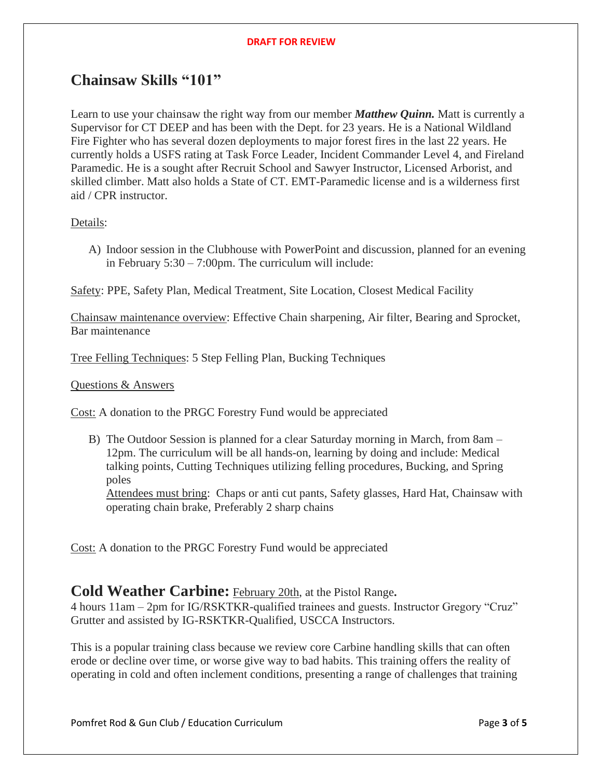#### **DRAFT FOR REVIEW**

### **Chainsaw Skills "101"**

Learn to use your chainsaw the right way from our member *Matthew Quinn.* Matt is currently a Supervisor for CT DEEP and has been with the Dept. for 23 years. He is a National Wildland Fire Fighter who has several dozen deployments to major forest fires in the last 22 years. He currently holds a USFS rating at Task Force Leader, Incident Commander Level 4, and Fireland Paramedic. He is a sought after Recruit School and Sawyer Instructor, Licensed Arborist, and skilled climber. Matt also holds a State of CT. EMT-Paramedic license and is a wilderness first aid / CPR instructor.

### Details:

A) Indoor session in the Clubhouse with PowerPoint and discussion, planned for an evening in February 5:30 – 7:00pm. The curriculum will include:

Safety: PPE, Safety Plan, Medical Treatment, Site Location, Closest Medical Facility

Chainsaw maintenance overview: Effective Chain sharpening, Air filter, Bearing and Sprocket, Bar maintenance

Tree Felling Techniques: 5 Step Felling Plan, Bucking Techniques

Questions & Answers

Cost: A donation to the PRGC Forestry Fund would be appreciated

B) The Outdoor Session is planned for a clear Saturday morning in March, from 8am – 12pm. The curriculum will be all hands-on, learning by doing and include: Medical talking points, Cutting Techniques utilizing felling procedures, Bucking, and Spring poles

Attendees must bring: Chaps or anti cut pants, Safety glasses, Hard Hat, Chainsaw with operating chain brake, Preferably 2 sharp chains

Cost: A donation to the PRGC Forestry Fund would be appreciated

### **Cold Weather Carbine:** February 20th, at the Pistol Range**.**

4 hours 11am – 2pm for IG/RSKTKR-qualified trainees and guests. Instructor Gregory "Cruz" Grutter and assisted by IG-RSKTKR-Qualified, USCCA Instructors.

This is a popular training class because we review core Carbine handling skills that can often erode or decline over time, or worse give way to bad habits. This training offers the reality of operating in cold and often inclement conditions, presenting a range of challenges that training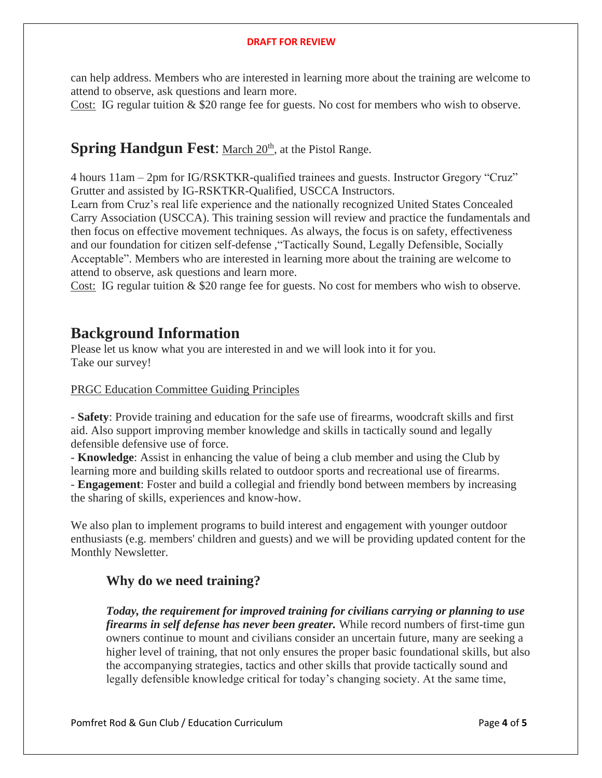can help address. Members who are interested in learning more about the training are welcome to attend to observe, ask questions and learn more.

Cost: IG regular tuition & \$20 range fee for guests. No cost for members who wish to observe.

### **Spring Handgun Fest:** March 20<sup>th</sup>, at the Pistol Range.

4 hours 11am – 2pm for IG/RSKTKR-qualified trainees and guests. Instructor Gregory "Cruz" Grutter and assisted by IG-RSKTKR-Qualified, USCCA Instructors.

Learn from Cruz's real life experience and the nationally recognized United States Concealed Carry Association (USCCA). This training session will review and practice the fundamentals and then focus on effective movement techniques. As always, the focus is on safety, effectiveness and our foundation for citizen self-defense ,"Tactically Sound, Legally Defensible, Socially Acceptable". Members who are interested in learning more about the training are welcome to attend to observe, ask questions and learn more.

Cost: IG regular tuition & \$20 range fee for guests. No cost for members who wish to observe.

### **Background Information**

Please let us know what you are interested in and we will look into it for you. Take our survey!

#### PRGC Education Committee Guiding Principles

- **Safety**: Provide training and education for the safe use of firearms, woodcraft skills and first aid. Also support improving member knowledge and skills in tactically sound and legally defensible defensive use of force.

- **Knowledge**: Assist in enhancing the value of being a club member and using the Club by learning more and building skills related to outdoor sports and recreational use of firearms. - **Engagement**: Foster and build a collegial and friendly bond between members by increasing the sharing of skills, experiences and know-how.

We also plan to implement programs to build interest and engagement with younger outdoor enthusiasts (e.g. members' children and guests) and we will be providing updated content for the Monthly Newsletter.

### **Why do we need training?**

*Today, the requirement for improved training for civilians carrying or planning to use firearms in self defense has never been greater.* While record numbers of first-time gun owners continue to mount and civilians consider an uncertain future, many are seeking a higher level of training, that not only ensures the proper basic foundational skills, but also the accompanying strategies, tactics and other skills that provide tactically sound and legally defensible knowledge critical for today's changing society. At the same time,